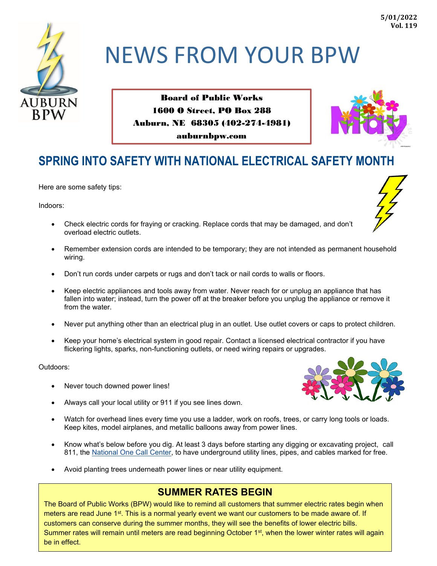

# NEWS FROM YOUR BPW

Board of Public Works 1600 O Street, PO Box 288 Auburn, NE 68305 (402-274-4981) auburnbpw.com



# **SPRING INTO SAFETY WITH NATIONAL ELECTRICAL SAFETY MONTH**

Here are some safety tips:

Indoors:



- Check electric cords for fraying or cracking. Replace cords that may be damaged, and don't overload electric outlets.
- Remember extension cords are intended to be temporary; they are not intended as permanent household wiring.
- Don't run cords under carpets or rugs and don't tack or nail cords to walls or floors.
- Keep electric appliances and tools away from water. Never reach for or unplug an appliance that has fallen into water; instead, turn the power off at the breaker before you unplug the appliance or remove it from the water.
- Never put anything other than an electrical plug in an outlet. Use outlet covers or caps to protect children.
- Keep your home's electrical system in good repair. Contact a licensed electrical contractor if you have flickering lights, sparks, non-functioning outlets, or need wiring repairs or upgrades.

Outdoors:

- Never touch downed power lines!
- Always call your local utility or 911 if you see lines down.
- Watch for overhead lines every time you use a ladder, work on roofs, trees, or carry long tools or loads. Keep kites, model airplanes, and metallic balloons away from power lines.
- Know what's below before you dig. At least 3 days before starting any digging or excavating project, call 811, the [National One Call Center,](http://www.call811.com/) to have underground utility lines, pipes, and cables marked for free.
- Avoid planting trees underneath power lines or near utility equipment.

## **SUMMER RATES BEGIN**

The Board of Public Works (BPW) would like to remind all customers that summer electric rates begin when meters are read June 1<sup>st</sup>. This is a normal yearly event we want our customers to be made aware of. If customers can conserve during the summer months, they will see the benefits of lower electric bills. Summer rates will remain until meters are read beginning October 1<sup>st</sup>, when the lower winter rates will again be in effect.